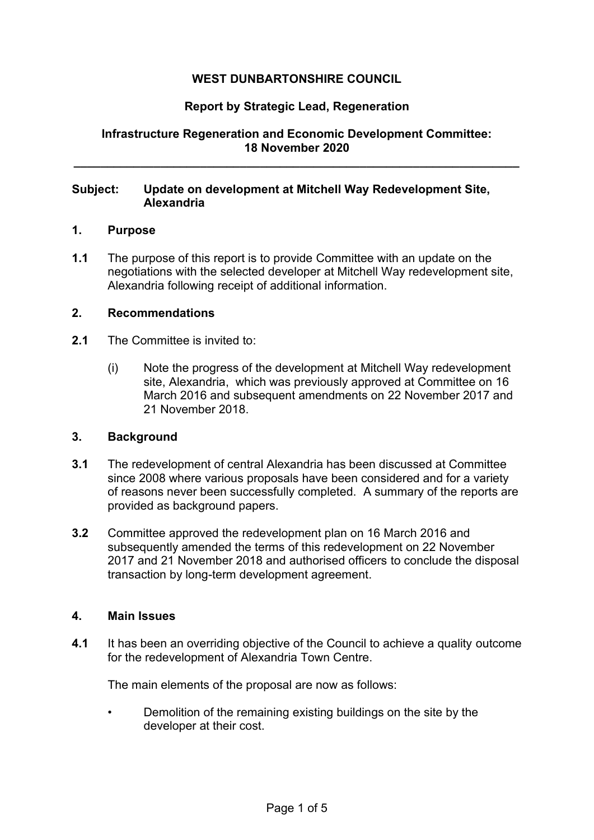# **WEST DUNBARTONSHIRE COUNCIL**

## **Report by Strategic Lead, Regeneration**

## **Infrastructure Regeneration and Economic Development Committee: 18 November 2020**

**\_\_\_\_\_\_\_\_\_\_\_\_\_\_\_\_\_\_\_\_\_\_\_\_\_\_\_\_\_\_\_\_\_\_\_\_\_\_\_\_\_\_\_\_\_\_\_\_\_\_\_\_\_\_\_\_\_\_\_\_\_\_\_\_\_\_\_** 

## **Subject: Update on development at Mitchell Way Redevelopment Site, Alexandria**

#### **1. Purpose**

**1.1** The purpose of this report is to provide Committee with an update on the negotiations with the selected developer at Mitchell Way redevelopment site, Alexandria following receipt of additional information.

### **2. Recommendations**

- **2.1** The Committee is invited to:
	- (i) Note the progress of the development at Mitchell Way redevelopment site, Alexandria, which was previously approved at Committee on 16 March 2016 and subsequent amendments on 22 November 2017 and 21 November 2018.

#### **3. Background**

- **3.1** The redevelopment of central Alexandria has been discussed at Committee since 2008 where various proposals have been considered and for a variety of reasons never been successfully completed. A summary of the reports are provided as background papers.
- **3.2** Committee approved the redevelopment plan on 16 March 2016 and subsequently amended the terms of this redevelopment on 22 November 2017 and 21 November 2018 and authorised officers to conclude the disposal transaction by long-term development agreement.

#### **4. Main Issues**

**4.1** It has been an overriding objective of the Council to achieve a quality outcome for the redevelopment of Alexandria Town Centre.

The main elements of the proposal are now as follows:

• Demolition of the remaining existing buildings on the site by the developer at their cost.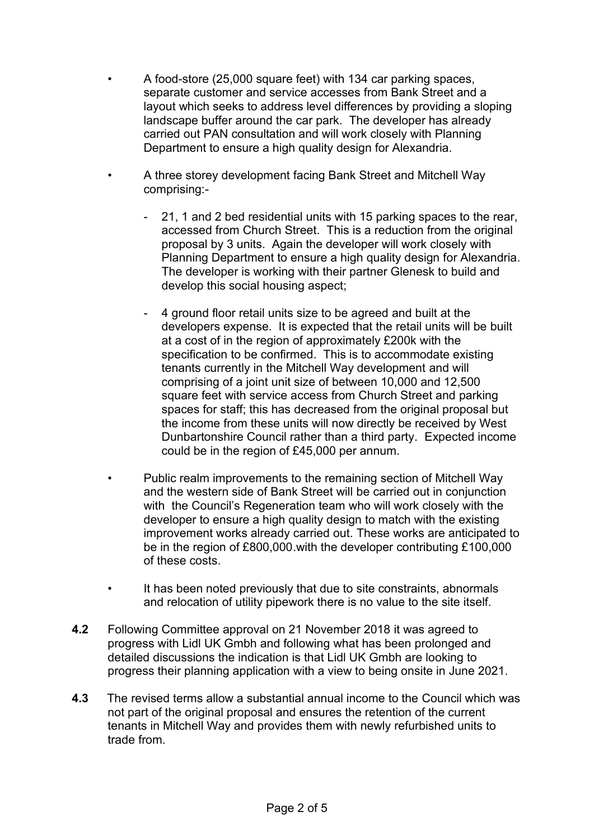- A food-store (25,000 square feet) with 134 car parking spaces, separate customer and service accesses from Bank Street and a layout which seeks to address level differences by providing a sloping landscape buffer around the car park. The developer has already carried out PAN consultation and will work closely with Planning Department to ensure a high quality design for Alexandria.
- A three storey development facing Bank Street and Mitchell Way comprising:-
	- 21, 1 and 2 bed residential units with 15 parking spaces to the rear, accessed from Church Street. This is a reduction from the original proposal by 3 units. Again the developer will work closely with Planning Department to ensure a high quality design for Alexandria. The developer is working with their partner Glenesk to build and develop this social housing aspect;
	- 4 ground floor retail units size to be agreed and built at the developers expense. It is expected that the retail units will be built at a cost of in the region of approximately £200k with the specification to be confirmed. This is to accommodate existing tenants currently in the Mitchell Way development and will comprising of a joint unit size of between 10,000 and 12,500 square feet with service access from Church Street and parking spaces for staff; this has decreased from the original proposal but the income from these units will now directly be received by West Dunbartonshire Council rather than a third party. Expected income could be in the region of £45,000 per annum.
- Public realm improvements to the remaining section of Mitchell Way and the western side of Bank Street will be carried out in conjunction with the Council's Regeneration team who will work closely with the developer to ensure a high quality design to match with the existing improvement works already carried out. These works are anticipated to be in the region of £800,000.with the developer contributing £100,000 of these costs.
- It has been noted previously that due to site constraints, abnormals and relocation of utility pipework there is no value to the site itself.
- **4.2** Following Committee approval on 21 November 2018 it was agreed to progress with Lidl UK Gmbh and following what has been prolonged and detailed discussions the indication is that Lidl UK Gmbh are looking to progress their planning application with a view to being onsite in June 2021.
- **4.3** The revised terms allow a substantial annual income to the Council which was not part of the original proposal and ensures the retention of the current tenants in Mitchell Way and provides them with newly refurbished units to trade from.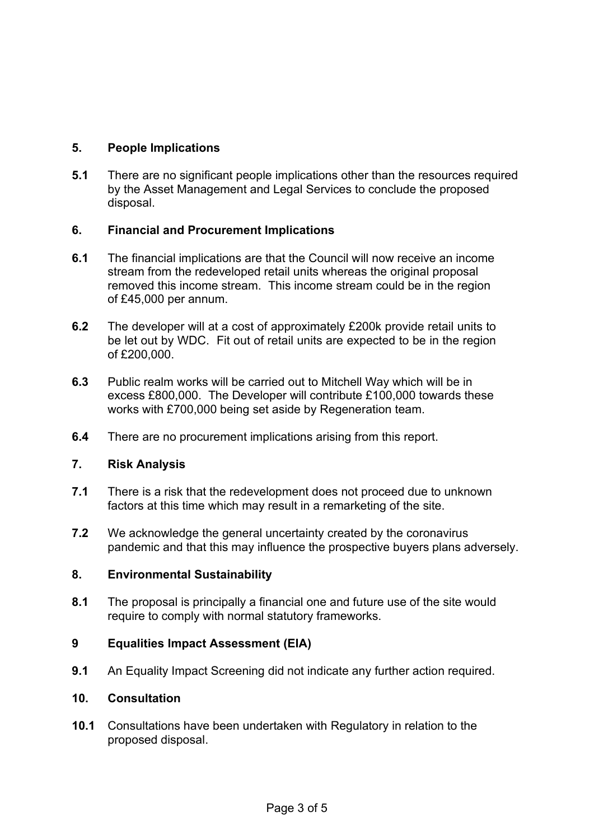# **5. People Implications**

**5.1** There are no significant people implications other than the resources required by the Asset Management and Legal Services to conclude the proposed disposal.

## **6. Financial and Procurement Implications**

- **6.1** The financial implications are that the Council will now receive an income stream from the redeveloped retail units whereas the original proposal removed this income stream. This income stream could be in the region of £45,000 per annum.
- **6.2** The developer will at a cost of approximately £200k provide retail units to be let out by WDC. Fit out of retail units are expected to be in the region of £200,000.
- **6.3** Public realm works will be carried out to Mitchell Way which will be in excess £800,000. The Developer will contribute £100,000 towards these works with £700,000 being set aside by Regeneration team.
- **6.4** There are no procurement implications arising from this report.

## **7. Risk Analysis**

- **7.1** There is a risk that the redevelopment does not proceed due to unknown factors at this time which may result in a remarketing of the site.
- **7.2** We acknowledge the general uncertainty created by the coronavirus pandemic and that this may influence the prospective buyers plans adversely.

## **8. Environmental Sustainability**

**8.1** The proposal is principally a financial one and future use of the site would require to comply with normal statutory frameworks.

## **9 Equalities Impact Assessment (EIA)**

**9.1** An Equality Impact Screening did not indicate any further action required.

## **10. Consultation**

**10.1** Consultations have been undertaken with Regulatory in relation to the proposed disposal.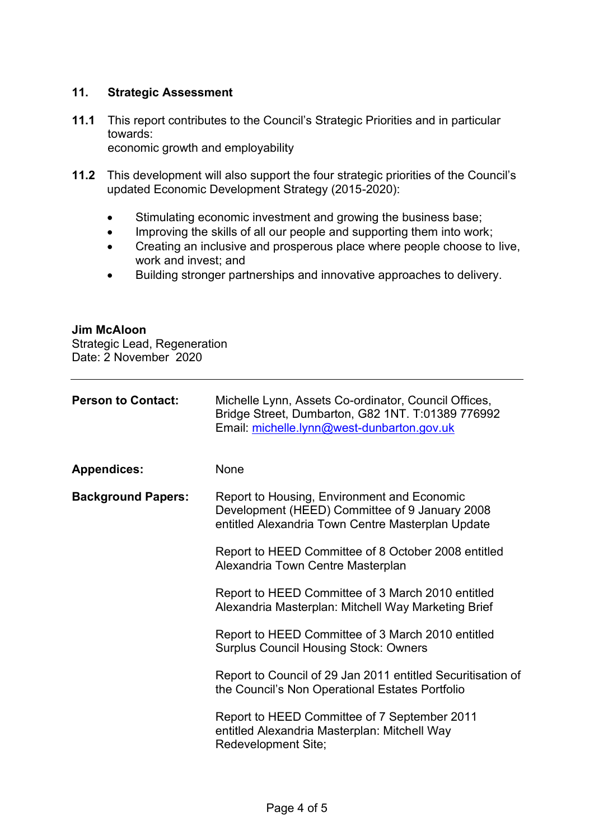## **11. Strategic Assessment**

- **11.1** This report contributes to the Council's Strategic Priorities and in particular towards: economic growth and employability
- **11.2** This development will also support the four strategic priorities of the Council's updated Economic Development Strategy (2015-2020):
	- Stimulating economic investment and growing the business base;
	- Improving the skills of all our people and supporting them into work;
	- Creating an inclusive and prosperous place where people choose to live, work and invest; and
	- Building stronger partnerships and innovative approaches to delivery.

### **Jim McAloon**

Strategic Lead, Regeneration Date: 2 November 2020

| <b>Person to Contact:</b> | Michelle Lynn, Assets Co-ordinator, Council Offices,<br>Bridge Street, Dumbarton, G82 1NT. T:01389 776992<br>Email: michelle.lynn@west-dunbarton.gov.uk |
|---------------------------|---------------------------------------------------------------------------------------------------------------------------------------------------------|
| <b>Appendices:</b>        | None                                                                                                                                                    |
| <b>Background Papers:</b> | Report to Housing, Environment and Economic<br>Development (HEED) Committee of 9 January 2008<br>entitled Alexandria Town Centre Masterplan Update      |
|                           | Report to HEED Committee of 8 October 2008 entitled<br>Alexandria Town Centre Masterplan                                                                |
|                           | Report to HEED Committee of 3 March 2010 entitled<br>Alexandria Masterplan: Mitchell Way Marketing Brief                                                |
|                           | Report to HEED Committee of 3 March 2010 entitled<br><b>Surplus Council Housing Stock: Owners</b>                                                       |
|                           | Report to Council of 29 Jan 2011 entitled Securitisation of<br>the Council's Non Operational Estates Portfolio                                          |
|                           | Report to HEED Committee of 7 September 2011<br>entitled Alexandria Masterplan: Mitchell Way<br>Redevelopment Site;                                     |